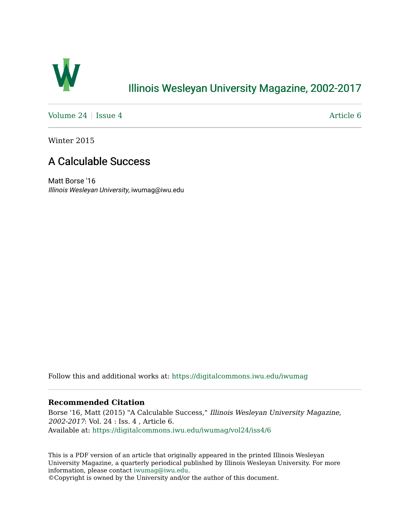

## [Illinois Wesleyan University Magazine, 2002-2017](https://digitalcommons.iwu.edu/iwumag)

[Volume 24](https://digitalcommons.iwu.edu/iwumag/vol24) | [Issue 4](https://digitalcommons.iwu.edu/iwumag/vol24/iss4)  $\blacksquare$ 

Winter 2015

### A Calculable Success

Matt Borse '16 Illinois Wesleyan University, iwumag@iwu.edu

Follow this and additional works at: [https://digitalcommons.iwu.edu/iwumag](https://digitalcommons.iwu.edu/iwumag?utm_source=digitalcommons.iwu.edu%2Fiwumag%2Fvol24%2Fiss4%2F6&utm_medium=PDF&utm_campaign=PDFCoverPages) 

#### **Recommended Citation**

Borse '16, Matt (2015) "A Calculable Success," Illinois Wesleyan University Magazine, 2002-2017: Vol. 24 : Iss. 4 , Article 6. Available at: [https://digitalcommons.iwu.edu/iwumag/vol24/iss4/6](https://digitalcommons.iwu.edu/iwumag/vol24/iss4/6?utm_source=digitalcommons.iwu.edu%2Fiwumag%2Fvol24%2Fiss4%2F6&utm_medium=PDF&utm_campaign=PDFCoverPages)

This is a PDF version of an article that originally appeared in the printed Illinois Wesleyan University Magazine, a quarterly periodical published by Illinois Wesleyan University. For more information, please contact [iwumag@iwu.edu](mailto:iwumag@iwu.edu).

©Copyright is owned by the University and/or the author of this document.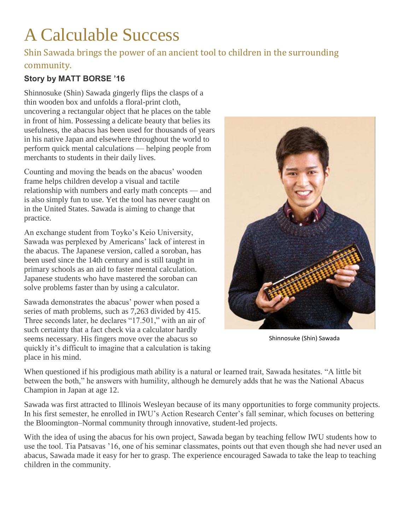# A Calculable Success

### Shin Sawada brings the power of an ancient tool to children in the surrounding community.

### **Story by MATT BORSE '16**

Shinnosuke (Shin) Sawada gingerly flips the clasps of a thin wooden box and unfolds a floral-print cloth, uncovering a rectangular object that he places on the table in front of him. Possessing a delicate beauty that belies its usefulness, the abacus has been used for thousands of years in his native Japan and elsewhere throughout the world to perform quick mental calculations — helping people from merchants to students in their daily lives.

Counting and moving the beads on the abacus' wooden frame helps children develop a visual and tactile relationship with numbers and early math concepts — and is also simply fun to use. Yet the tool has never caught on in the United States. Sawada is aiming to change that practice.

An exchange student from Toyko's Keio University, Sawada was perplexed by Americans' lack of interest in the abacus. The Japanese version, called a soroban, has been used since the 14th century and is still taught in primary schools as an aid to faster mental calculation. Japanese students who have mastered the soroban can solve problems faster than by using a calculator.

Sawada demonstrates the abacus' power when posed a series of math problems, such as 7,263 divided by 415. Three seconds later, he declares "17.501," with an air of such certainty that a fact check via a calculator hardly seems necessary. His fingers move over the abacus so quickly it's difficult to imagine that a calculation is taking place in his mind.



Shinnosuke (Shin) Sawada

When questioned if his prodigious math ability is a natural or learned trait, Sawada hesitates. "A little bit between the both," he answers with humility, although he demurely adds that he was the National Abacus Champion in Japan at age 12.

Sawada was first attracted to Illinois Wesleyan because of its many opportunities to forge community projects. In his first semester, he enrolled in IWU's Action Research Center's fall seminar, which focuses on bettering the Bloomington–Normal community through innovative, student-led projects.

With the idea of using the abacus for his own project, Sawada began by teaching fellow IWU students how to use the tool. Tia Patsavas '16, one of his seminar classmates, points out that even though she had never used an abacus, Sawada made it easy for her to grasp. The experience encouraged Sawada to take the leap to teaching children in the community.